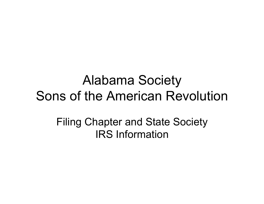#### Alabama Society Sons of the American Revolution

Filing Chapter and State Society IRS Information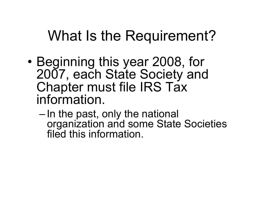### What Is the Requirement?

- Beginning this year 2008, for 2007, each State Society and Chapter must file IRS Tax information.
	- In the past, only the national organization and some State Societies filed this information.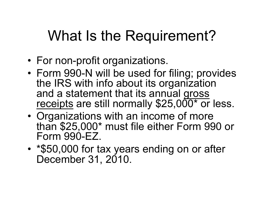## What Is the Requirement?

- For non-profit organizations.
- Form 990-N will be used for filing; provides the IRS with info about its organization and a statement that its annual gross receipts are still normally \$25,000<sup>\*</sup> or less.
- Organizations with an income of more than \$25,000\* must file either Form 990 or Form 990-EZ.
- \*\$50,000 for tax years ending on or after December 31, 2010.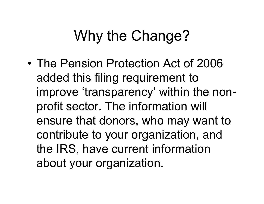## Why the Change?

• The Pension Protection Act of 2006 added this filing requirement to improve 'transparency' within the nonprofit sector. The information will ensure that donors, who may want to contribute to your organization, and the IRS, have current information about your organization.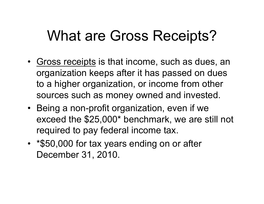### What are Gross Receipts?

- Gross receipts is that income, such as dues, an organization keeps after it has passed on dues to a higher organization, or income from other sources such as money owned and invested.
- Being a non-profit organization, even if we exceed the \$25,000\* benchmark, we are still not required to pay federal income tax.
- \*\$50,000 for tax years ending on or after December 31, 2010.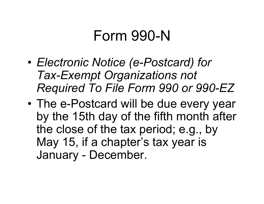#### Form 990-N

- *Electronic Notice (e-Postcard) for Tax-Exempt Organizations not Required To File Form 990 or 990-EZ*
- The e-Postcard will be due every year by the 15th day of the fifth month after the close of the tax period; e.g., by May 15, if a chapter's tax year is January - December.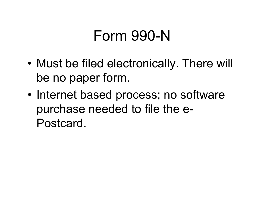### Form 990-N

- Must be filed electronically. There will be no paper form.
- Internet based process; no software purchase needed to file the e-Postcard.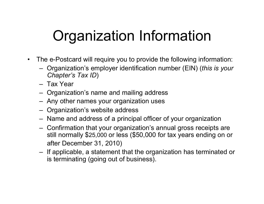# Organization Information

- The e-Postcard will require you to provide the following information:
	- Organization's employer identification number (EIN) (*this is your Chapter's Tax ID*)
	- Tax Year
	- Organization's name and mailing address
	- Any other names your organization uses
	- Organization's website address
	- Name and address of a principal officer of your organization
	- Confirmation that your organization's annual gross receipts are still normally \$25,000 or less (\$50,000 for tax years ending on or after December 31, 2010)
	- If applicable, a statement that the organization has terminated or is terminating (going out of business).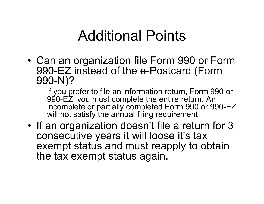### Additional Points

- Can an organization file Form 990 or Form 990-EZ instead of the e-Postcard (Form 990-N)?
	- If you prefer to file an information return, Form 990 or 990-EZ, you must complete the entire return. An incomplete or partially completed Form 990 or 990-EZ will not satisfy the annual filing requirement.
- If an organization doesn't file a return for 3 consecutive years it will loose it's tax exempt status and must reapply to obtain the tax exempt status again.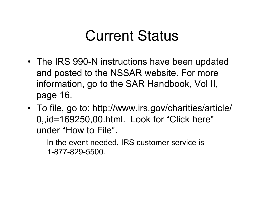#### Current Status

- The IRS 990-N instructions have been updated and posted to the NSSAR website. For more information, go to the SAR Handbook, Vol II, page 16.
- To file, go to: http://www.irs.gov/charities/article/ 0,,id=169250,00.html. Look for "Click here" under "How to File".
	- In the event needed, IRS customer service is 1-877-829-5500.